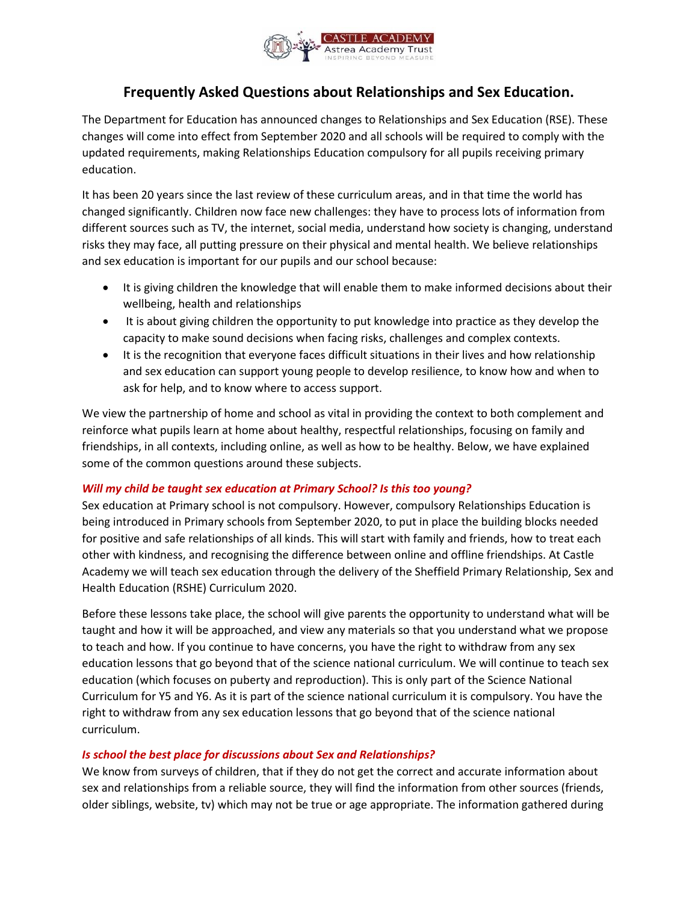

# **Frequently Asked Questions about Relationships and Sex Education.**

The Department for Education has announced changes to Relationships and Sex Education (RSE). These changes will come into effect from September 2020 and all schools will be required to comply with the updated requirements, making Relationships Education compulsory for all pupils receiving primary education.

It has been 20 years since the last review of these curriculum areas, and in that time the world has changed significantly. Children now face new challenges: they have to process lots of information from different sources such as TV, the internet, social media, understand how society is changing, understand risks they may face, all putting pressure on their physical and mental health. We believe relationships and sex education is important for our pupils and our school because:

- It is giving children the knowledge that will enable them to make informed decisions about their wellbeing, health and relationships
- It is about giving children the opportunity to put knowledge into practice as they develop the capacity to make sound decisions when facing risks, challenges and complex contexts.
- It is the recognition that everyone faces difficult situations in their lives and how relationship and sex education can support young people to develop resilience, to know how and when to ask for help, and to know where to access support.

We view the partnership of home and school as vital in providing the context to both complement and reinforce what pupils learn at home about healthy, respectful relationships, focusing on family and friendships, in all contexts, including online, as well as how to be healthy. Below, we have explained some of the common questions around these subjects.

### *Will my child be taught sex education at Primary School? Is this too young?*

Sex education at Primary school is not compulsory. However, compulsory Relationships Education is being introduced in Primary schools from September 2020, to put in place the building blocks needed for positive and safe relationships of all kinds. This will start with family and friends, how to treat each other with kindness, and recognising the difference between online and offline friendships. At Castle Academy we will teach sex education through the delivery of the Sheffield Primary Relationship, Sex and Health Education (RSHE) Curriculum 2020.

Before these lessons take place, the school will give parents the opportunity to understand what will be taught and how it will be approached, and view any materials so that you understand what we propose to teach and how. If you continue to have concerns, you have the right to withdraw from any sex education lessons that go beyond that of the science national curriculum. We will continue to teach sex education (which focuses on puberty and reproduction). This is only part of the Science National Curriculum for Y5 and Y6. As it is part of the science national curriculum it is compulsory. You have the right to withdraw from any sex education lessons that go beyond that of the science national curriculum.

### *Is school the best place for discussions about Sex and Relationships?*

We know from surveys of children, that if they do not get the correct and accurate information about sex and relationships from a reliable source, they will find the information from other sources (friends, older siblings, website, tv) which may not be true or age appropriate. The information gathered during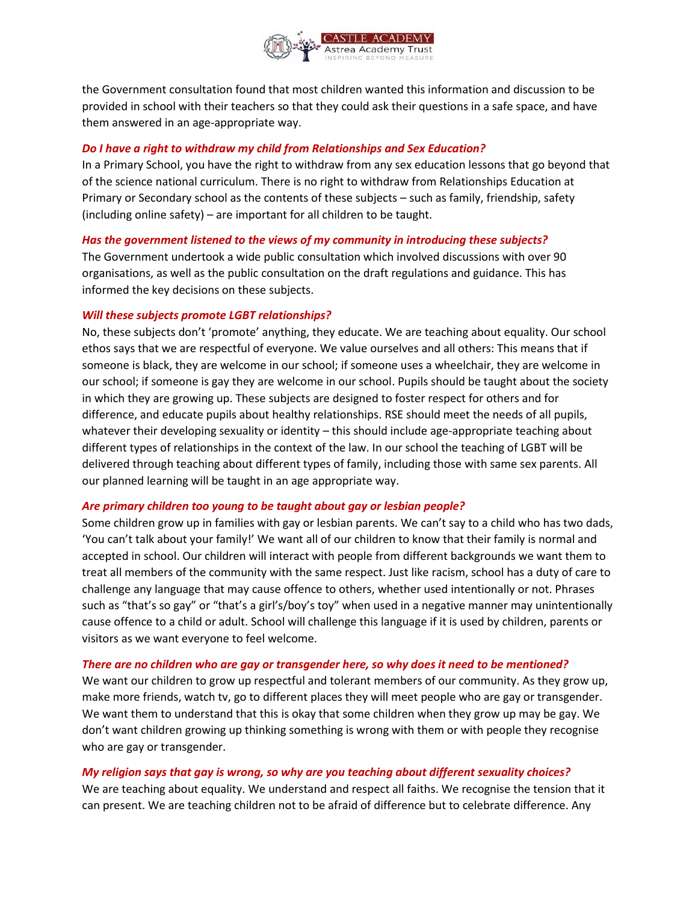

the Government consultation found that most children wanted this information and discussion to be provided in school with their teachers so that they could ask their questions in a safe space, and have them answered in an age-appropriate way.

#### *Do I have a right to withdraw my child from Relationships and Sex Education?*

In a Primary School, you have the right to withdraw from any sex education lessons that go beyond that of the science national curriculum. There is no right to withdraw from Relationships Education at Primary or Secondary school as the contents of these subjects – such as family, friendship, safety (including online safety) – are important for all children to be taught.

#### *Has the government listened to the views of my community in introducing these subjects?*

The Government undertook a wide public consultation which involved discussions with over 90 organisations, as well as the public consultation on the draft regulations and guidance. This has informed the key decisions on these subjects.

#### *Will these subjects promote LGBT relationships?*

No, these subjects don't 'promote' anything, they educate. We are teaching about equality. Our school ethos says that we are respectful of everyone. We value ourselves and all others: This means that if someone is black, they are welcome in our school; if someone uses a wheelchair, they are welcome in our school; if someone is gay they are welcome in our school. Pupils should be taught about the society in which they are growing up. These subjects are designed to foster respect for others and for difference, and educate pupils about healthy relationships. RSE should meet the needs of all pupils, whatever their developing sexuality or identity – this should include age-appropriate teaching about different types of relationships in the context of the law. In our school the teaching of LGBT will be delivered through teaching about different types of family, including those with same sex parents. All our planned learning will be taught in an age appropriate way.

#### *Are primary children too young to be taught about gay or lesbian people?*

Some children grow up in families with gay or lesbian parents. We can't say to a child who has two dads, 'You can't talk about your family!' We want all of our children to know that their family is normal and accepted in school. Our children will interact with people from different backgrounds we want them to treat all members of the community with the same respect. Just like racism, school has a duty of care to challenge any language that may cause offence to others, whether used intentionally or not. Phrases such as "that's so gay" or "that's a girl's/boy's toy" when used in a negative manner may unintentionally cause offence to a child or adult. School will challenge this language if it is used by children, parents or visitors as we want everyone to feel welcome.

#### *There are no children who are gay or transgender here, so why does it need to be mentioned?*

We want our children to grow up respectful and tolerant members of our community. As they grow up, make more friends, watch tv, go to different places they will meet people who are gay or transgender. We want them to understand that this is okay that some children when they grow up may be gay. We don't want children growing up thinking something is wrong with them or with people they recognise who are gay or transgender.

### *My religion says that gay is wrong, so why are you teaching about different sexuality choices?*

We are teaching about equality. We understand and respect all faiths. We recognise the tension that it can present. We are teaching children not to be afraid of difference but to celebrate difference. Any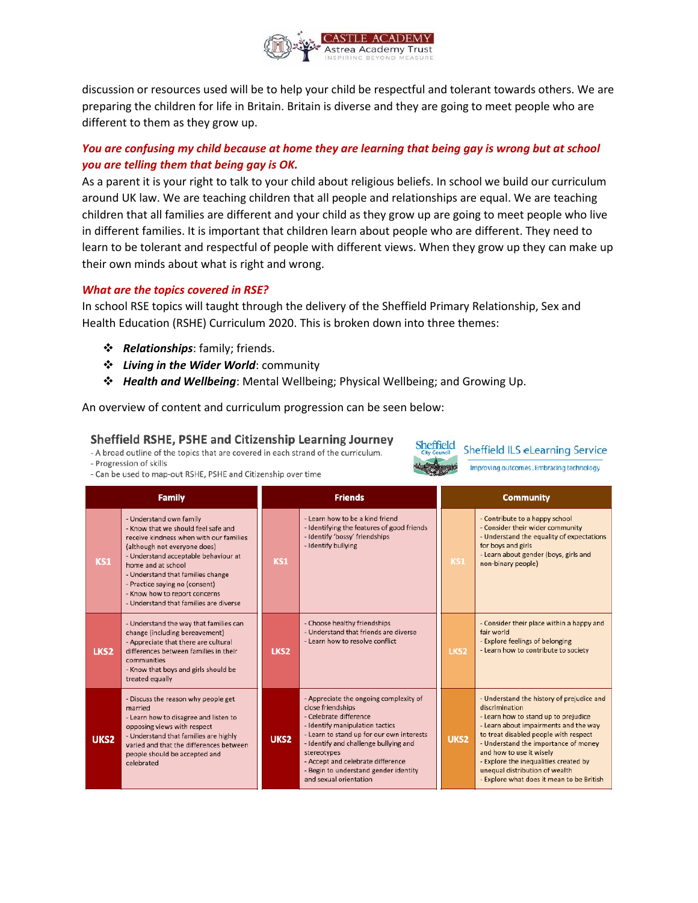

discussion or resources used will be to help your child be respectful and tolerant towards others. We are preparing the children for life in Britain. Britain is diverse and they are going to meet people who are different to them as they grow up.

# *You are confusing my child because at home they are learning that being gay is wrong but at school you are telling them that being gay is OK.*

As a parent it is your right to talk to your child about religious beliefs. In school we build our curriculum around UK law. We are teaching children that all people and relationships are equal. We are teaching children that all families are different and your child as they grow up are going to meet people who live in different families. It is important that children learn about people who are different. They need to learn to be tolerant and respectful of people with different views. When they grow up they can make up their own minds about what is right and wrong.

#### *What are the topics covered in RSE?*

In school RSE topics will taught through the delivery of the Sheffield Primary Relationship, Sex and Health Education (RSHE) Curriculum 2020. This is broken down into three themes:

- *Relationships*: family; friends.
- *Living in the Wider World*: community
- *Health and Wellbeing*: Mental Wellbeing; Physical Wellbeing; and Growing Up.

An overview of content and curriculum progression can be seen below:

### Sheffield RSHE, PSHE and Citizenship Learning Journey

- A broad outline of the topics that are covered in each strand of the curriculum.

- Progression of skills

- Can be used to map-out RSHE, PSHE and Citizenship over time



**Sheffield ILS eLearning Service** 

Improving outcomes. Embracing technology

| <b>Family</b>    |                                                                                                                                                                                                                                                                                                                                                           | <b>Friends</b>   |                                                                                                                                                                                                                                                                                                                                       | <b>Community</b> |                                                                                                                                                                                                                                                                                                                                                                                   |  |
|------------------|-----------------------------------------------------------------------------------------------------------------------------------------------------------------------------------------------------------------------------------------------------------------------------------------------------------------------------------------------------------|------------------|---------------------------------------------------------------------------------------------------------------------------------------------------------------------------------------------------------------------------------------------------------------------------------------------------------------------------------------|------------------|-----------------------------------------------------------------------------------------------------------------------------------------------------------------------------------------------------------------------------------------------------------------------------------------------------------------------------------------------------------------------------------|--|
| KS1              | - Understand own family<br>- Know that we should feel safe and<br>receive kindness when with our families<br>(although not everyone does)<br>- Understand acceptable behaviour at<br>home and at school<br>- Understand that families change<br>- Practice saying no (consent)<br>- Know how to report concerns<br>- Understand that families are diverse | KS1              | - Learn how to be a kind friend<br>- Identifying the features of good friends<br>- Identify 'bossy' friendships<br>- Identify bullying                                                                                                                                                                                                | KS1              | - Contribute to a happy school<br>- Consider their wider community<br>- Understand the equality of expectations<br>for boys and girls<br>- Learn about gender (boys, girls and<br>non-binary people)                                                                                                                                                                              |  |
| LKS <sub>2</sub> | - Understand the way that families can<br>change (including bereavement)<br>- Appreciate that there are cultural<br>differences between families in their<br>communities<br>- Know that boys and girls should be<br>treated equally                                                                                                                       | LKS <sub>2</sub> | - Choose healthy friendships<br>- Understand that friends are diverse<br>- Learn how to resolve conflict                                                                                                                                                                                                                              | LKS <sub>2</sub> | - Consider their place within a happy and<br>fair world<br>- Explore feelings of belonging<br>- Learn how to contribute to society                                                                                                                                                                                                                                                |  |
| UKS <sub>2</sub> | - Discuss the reason why people get<br>married<br>- Learn how to disagree and listen to<br>opposing views with respect<br>- Understand that families are highly<br>varied and that the differences between<br>people should be accepted and<br>celebrated                                                                                                 | UKS2             | - Appreciate the ongoing complexity of<br>close friendships<br>- Celebrate difference<br>- Identify manipulation tactics<br>- Learn to stand up for our own interests<br>- Identify and challenge bullying and<br>stereotypes<br>- Accept and celebrate difference<br>- Begin to understand gender identity<br>and sexual orientation | UKS2             | - Understand the history of prejudice and<br>discrimination<br>- Learn how to stand up to prejudice<br>- Learn about impairments and the way<br>to treat disabled people with respect<br>- Understand the importance of money<br>and how to use it wisely<br>- Explore the inequalities created by<br>unequal distribution of wealth<br>- Explore what does it mean to be British |  |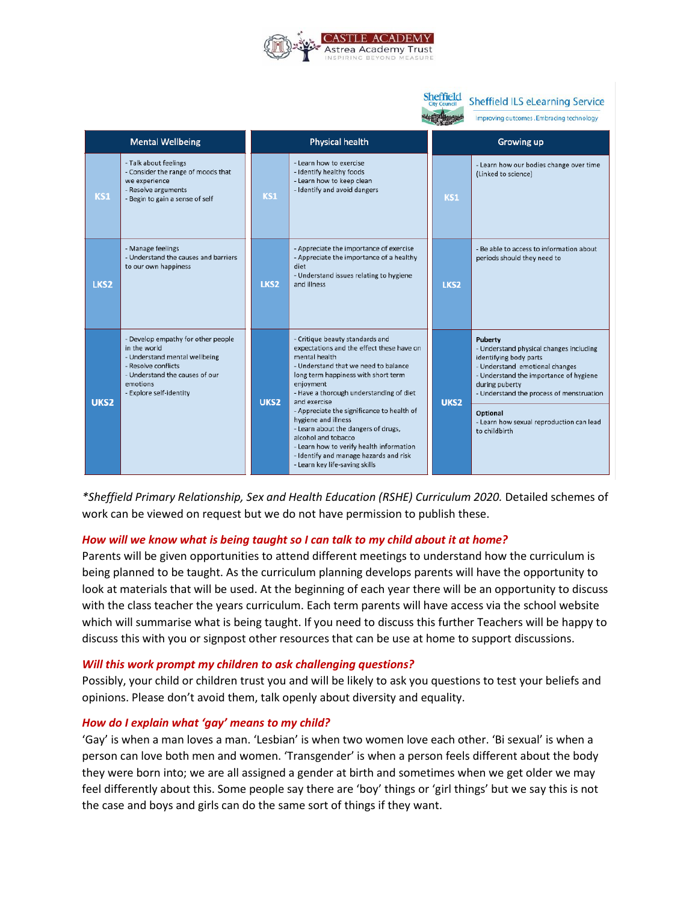

| <b>Sheffield</b>        |                                                                                                                                                                                     |                  |                                                                                                                                                                                                                                                                                                                                                                                                                                                                                                                 |  |                  | <b>Sheffield ILS eLearning Service</b>                                                                                                                                                                                                                                                          |
|-------------------------|-------------------------------------------------------------------------------------------------------------------------------------------------------------------------------------|------------------|-----------------------------------------------------------------------------------------------------------------------------------------------------------------------------------------------------------------------------------------------------------------------------------------------------------------------------------------------------------------------------------------------------------------------------------------------------------------------------------------------------------------|--|------------------|-------------------------------------------------------------------------------------------------------------------------------------------------------------------------------------------------------------------------------------------------------------------------------------------------|
|                         |                                                                                                                                                                                     |                  |                                                                                                                                                                                                                                                                                                                                                                                                                                                                                                                 |  |                  | Improving outcomes. Embracing technology                                                                                                                                                                                                                                                        |
| <b>Mental Wellbeing</b> |                                                                                                                                                                                     | Physical health  |                                                                                                                                                                                                                                                                                                                                                                                                                                                                                                                 |  | Growing up       |                                                                                                                                                                                                                                                                                                 |
| KS1                     | - Talk about feelings<br>- Consider the range of moods that<br>we experience<br>- Resolve arguments<br>- Begin to gain a sense of self                                              | KS1              | - Learn how to exercise<br>- Identify healthy foods<br>- Learn how to keep clean<br>- Identify and avoid dangers                                                                                                                                                                                                                                                                                                                                                                                                |  | KS1              | - Learn how our bodies change over time<br>(Linked to science)                                                                                                                                                                                                                                  |
| LKS <sub>2</sub>        | - Manage feelings<br>- Understand the causes and barriers<br>to our own happiness                                                                                                   | LKS <sub>2</sub> | - Appreciate the importance of exercise<br>- Appreciate the importance of a healthy<br>diet<br>- Understand issues relating to hygiene<br>and illness                                                                                                                                                                                                                                                                                                                                                           |  | LKS <sub>2</sub> | - Be able to access to information about<br>periods should they need to                                                                                                                                                                                                                         |
| UKS <sub>2</sub>        | - Develop empathy for other people<br>in the world<br>- Understand mental wellbeing<br>- Resolve conflicts<br>- Understand the causes of our<br>emotions<br>- Explore self-identity | UKS <sub>2</sub> | - Critique beauty standards and<br>expectations and the effect these have on<br>mental health<br>- Understand that we need to balance<br>long term happiness with short term<br>enjoyment<br>- Have a thorough understanding of diet<br>and exercise<br>- Appreciate the significance to health of<br>hygiene and illness<br>- Learn about the dangers of drugs,<br>alcohol and tobacco<br>- Learn how to verify health information<br>- Identify and manage hazards and risk<br>- Learn key life-saving skills |  | UKS2             | Puberty<br>- Understand physical changes including<br>identifying body parts<br>- Understand emotional changes<br>- Understand the importance of hygiene<br>during puberty<br>- Understand the process of menstruation<br>Optional<br>- Learn how sexual reproduction can lead<br>to childbirth |

*\*Sheffield Primary Relationship, Sex and Health Education (RSHE) Curriculum 2020.* Detailed schemes of work can be viewed on request but we do not have permission to publish these.

### *How will we know what is being taught so I can talk to my child about it at home?*

Parents will be given opportunities to attend different meetings to understand how the curriculum is being planned to be taught. As the curriculum planning develops parents will have the opportunity to look at materials that will be used. At the beginning of each year there will be an opportunity to discuss with the class teacher the years curriculum. Each term parents will have access via the school website which will summarise what is being taught. If you need to discuss this further Teachers will be happy to discuss this with you or signpost other resources that can be use at home to support discussions.

#### *Will this work prompt my children to ask challenging questions?*

Possibly, your child or children trust you and will be likely to ask you questions to test your beliefs and opinions. Please don't avoid them, talk openly about diversity and equality.

#### *How do I explain what 'gay' means to my child?*

'Gay' is when a man loves a man. 'Lesbian' is when two women love each other. 'Bi sexual' is when a person can love both men and women. 'Transgender' is when a person feels different about the body they were born into; we are all assigned a gender at birth and sometimes when we get older we may feel differently about this. Some people say there are 'boy' things or 'girl things' but we say this is not the case and boys and girls can do the same sort of things if they want.